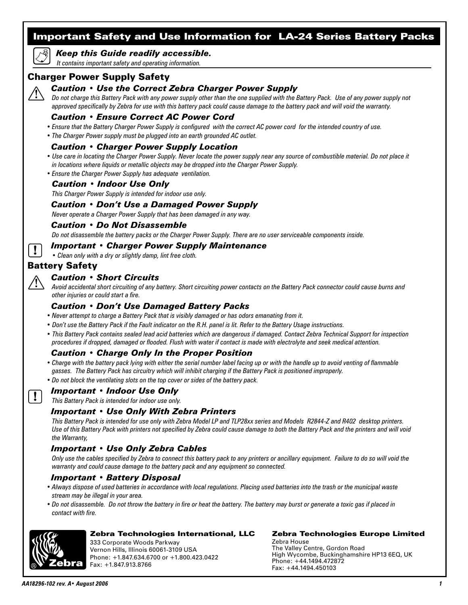# Important Safety and Use Information for LA-24 Series Battery Packs

# *Keep this Guide readily accessible.*

 *It contains important safety and operating information.*

# Charger Power Supply Safety

# *Caution • Use the Correct Zebra Charger Power Supply*

 *Do not charge this Battery Pack with any power supply other than the one supplied with the Battery Pack. Use of any power supply not approved specifically by Zebra for use with this battery pack could cause damage to the battery pack and will void the warranty.*

# *Caution • Ensure Correct AC Power Cord*

- *Ensure that the Battery Charger Power Supply is configured with the correct AC power cord for the intended country of use.*
- *The Charger Power supply must be plugged into an earth grounded AC outlet.*

# *Caution • Charger Power Supply Location*

- Use care in locating the Charger Power Supply. Never locate the power supply near any source of combustible material. Do not place it *in locations where liquids or metallic objects may be dropped into the Charger Power Supply.*
- *Ensure the Charger Power Supply has adequate ventilation.*

### *Caution • Indoor Use Only*

 *This Charger Power Supply is intended for indoor use only.*

## *Caution • Don't Use a Damaged Power Supply*

 *Never operate a Charger Power Supply that has been damaged in any way.*

#### *Caution • Do Not Disassemble*

 *Do not disassemble the battery packs or the Charger Power Supply. There are no user serviceable components inside.*

### *Important • Charger Power Supply Maintenance*

 *• Clean only with a dry or slightly damp, lint free cloth.*

# Battery Safety

Ţ

 $\mathbf{I}$ 

#### *Caution • Short Circuits*

 *Avoid accidental short circuiting of any battery. Short circuiting power contacts on the Battery Pack connector could cause burns and other injuries or could start a fire.*

## *Caution • Don't Use Damaged Battery Packs*

- *Never attempt to charge a Battery Pack that is visibly damaged or has odors emanating from it.*
- *Don't use the Battery Pack if the Fault indicator on the R.H. panel is lit. Refer to the Battery Usage instructions.*
- *This Battery Pack contains sealed lead acid batteries which are dangerous if damaged. Contact Zebra Technical Support for inspection procedures if dropped, damaged or flooded. Flush with water if contact is made with electrolyte and seek medical attention.*

#### *Caution • Charge Only In the Proper Position*

- *Charge with the battery pack lying with either the serial number label facing up or with the handle up to avoid venting of flammable gasses. The Battery Pack has circuitry which will inhibit charging if the Battery Pack is positioned improperly.*
- *Do not block the ventilating slots on the top cover or sides of the battery pack.*

#### *Important • Indoor Use Only*

 *This Battery Pack is intended for indoor use only.*

#### *Important • Use Only With Zebra Printers*

 *This Battery Pack is intended for use only with Zebra Model LP and TLP28xx series and Models R2844-Z and R402 desktop printers. Use of this Battery Pack with printers not specified by Zebra could cause damage to both the Battery Pack and the printers and will void the Warranty,*

# *Important • Use Only Zebra Cables*

 *Only use the cables specified by Zebra to connect this battery pack to any printers or ancillary equipment. Failure to do so will void the warranty and could cause damage to the battery pack and any equipment so connected.*

#### *Important • Battery Disposal*

- *Always dispose of used batteries in accordance with local regulations. Placing used batteries into the trash or the municipal waste stream may be illegal in your area.*
- *Do not disassemble. Do not throw the battery in fire or heat the battery. The battery may burst or generate a toxic gas if placed in contact with fire.*



#### Zebra Technologies International, LLC

333 Corporate Woods Parkway Vernon Hills, Illinois 60061-3109 USA Phone: +1.847.634.6700 or +1.800.423.0422 Fax: +1.847.913.8766

#### Zebra Technologies Europe Limited

Zebra House The Valley Centre, Gordon Road High Wycombe, Buckinghamshire HP13 6EQ, UK Phone: +44.1494.472872 Fax: +44.1494.450103